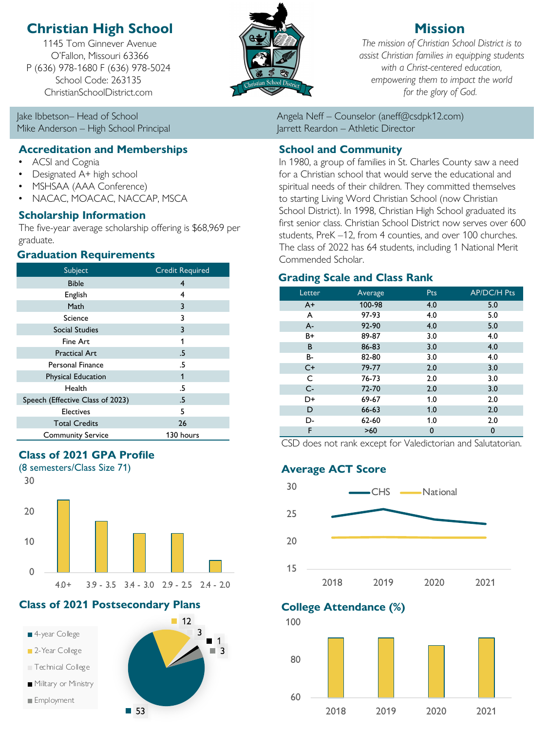# **Christian High School**

1145 Tom Ginnever Avenue O'Fallon, Missouri 63366 P (636) 978-1680 F (636) 978-5024 School Code: 263135 ChristianSchoolDistrict.com

Mike Anderson – High School Principal Jarrett Reardon – Athletic Director

## **Accreditation and Memberships**

- ACSI and Cognia
- Designated A+ high school
- MSHSAA (AAA Conference)
- NACAC, MOACAC, NACCAP, MSCA

## **Scholarship Information**

The five-year average scholarship offering is \$68,969 per graduate.

## **Graduation Requirements**

| Subject                          | <b>Credit Required</b> |  |
|----------------------------------|------------------------|--|
| <b>Bible</b>                     | 4                      |  |
| English                          | 4                      |  |
| Math                             | 3                      |  |
| Science                          | 3                      |  |
| <b>Social Studies</b>            | 3                      |  |
| Fine Art                         | 1                      |  |
| <b>Practical Art</b>             | .5                     |  |
| <b>Personal Finance</b>          | .5                     |  |
| <b>Physical Education</b>        | 1                      |  |
| Health                           | .5                     |  |
| Speech (Effective Class of 2023) | .5                     |  |
| <b>Electives</b>                 | 5                      |  |
| <b>Total Credits</b>             | 26                     |  |
| <b>Community Service</b>         | 130 hours              |  |

## **Class of 2021 GPA Profile**



# **Class of 2021 Postsecondary Plans College Attendance (%)**





# **Mission**

*The mission of Christian School District is to assist Christian families in equipping students with a Christ-centered education, empowering them to impact the world for the glory of God.*

Jake Ibbetson– Head of School Angela Neff – Counselor (aneff@csdpk12.com)

## **School and Community**

In 1980, a group of families in St. Charles County saw a need for a Christian school that would serve the educational and spiritual needs of their children. They committed themselves to starting Living Word Christian School (now Christian School District). In 1998, Christian High School graduated its first senior class. Christian School District now serves over 600 students, PreK –12, from 4 counties, and over 100 churches. The class of 2022 has 64 students, including 1 National Merit Commended Scholar.

## **Grading Scale and Class Rank**

| Letter | Average   | Pts | <b>AP/DC/H Pts</b> |
|--------|-----------|-----|--------------------|
| $A+$   | 100-98    | 4.0 | 5.0                |
| A      | 97-93     | 4.0 | 5.0                |
| $A -$  | 92-90     | 4.0 | 5.0                |
| B+     | 89-87     | 3.0 | 4.0                |
| B      | 86-83     | 3.0 | 4.0                |
| B-     | 82-80     | 3.0 | 4.0                |
| $C+$   | 79-77     | 2.0 | 3.0                |
| C      | 76-73     | 2.0 | 3.0                |
| $C -$  | 72-70     | 2.0 | 3.0                |
| D+     | 69-67     | 1.0 | 2.0                |
| D      | $66 - 63$ | 1.0 | 2.0                |
| D-     | 62-60     | 1.0 | 2.0                |
| F      | >60       | 0   | 0                  |

CSD does not rank except for Valedictorian and Salutatorian.